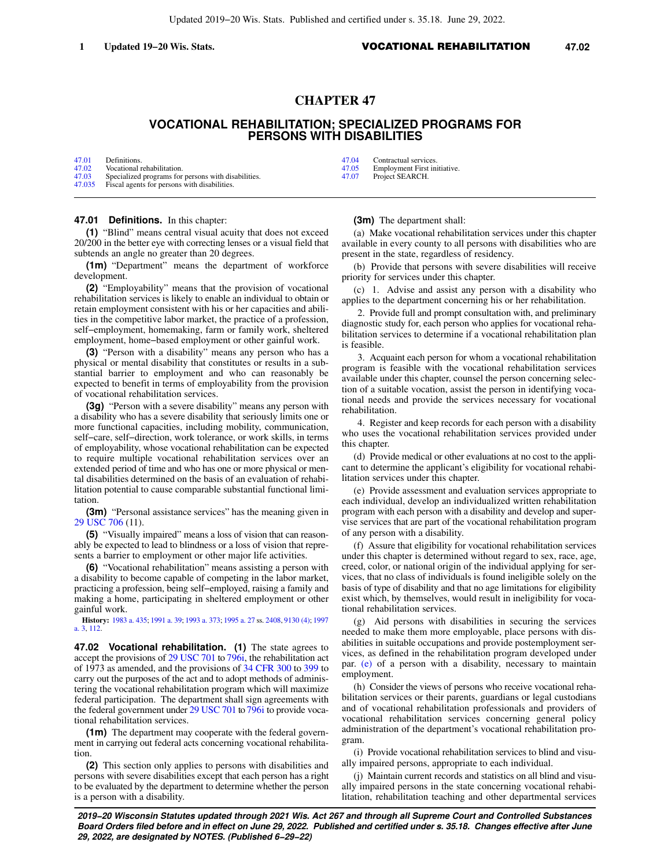Updated 2019−20 Wis. Stats. Published and certified under s. 35.18. June 29, 2022.

## **CHAPTER 47**

# **VOCATIONAL REHABILITATION; SPECIALIZED PROGRAMS FOR PERSONS WITH DISABILITIES**

| 47.01  | Definitions.                                        |  |
|--------|-----------------------------------------------------|--|
| 47.02  | Vocational rehabilitation.                          |  |
| 47.03  | Specialized programs for persons with disabilities. |  |
| 47.035 | Fiscal agents for persons with disabilities.        |  |

#### **47.01 Definitions.** In this chapter:

**(1)** "Blind" means central visual acuity that does not exceed 20/200 in the better eye with correcting lenses or a visual field that subtends an angle no greater than 20 degrees.

**(1m)** "Department" means the department of workforce development.

**(2)** "Employability" means that the provision of vocational rehabilitation services is likely to enable an individual to obtain or retain employment consistent with his or her capacities and abilities in the competitive labor market, the practice of a profession, self−employment, homemaking, farm or family work, sheltered employment, home−based employment or other gainful work.

**(3)** "Person with a disability" means any person who has a physical or mental disability that constitutes or results in a substantial barrier to employment and who can reasonably be expected to benefit in terms of employability from the provision of vocational rehabilitation services.

**(3g)** "Person with a severe disability" means any person with a disability who has a severe disability that seriously limits one or more functional capacities, including mobility, communication, self−care, self−direction, work tolerance, or work skills, in terms of employability, whose vocational rehabilitation can be expected to require multiple vocational rehabilitation services over an extended period of time and who has one or more physical or mental disabilities determined on the basis of an evaluation of rehabilitation potential to cause comparable substantial functional limitation.

**(3m)** "Personal assistance services" has the meaning given in [29 USC 706](https://docs.legis.wisconsin.gov/document/usc/29%20USC%20706) (11).

**(5)** "Visually impaired" means a loss of vision that can reasonably be expected to lead to blindness or a loss of vision that represents a barrier to employment or other major life activities.

**(6)** "Vocational rehabilitation" means assisting a person with a disability to become capable of competing in the labor market, practicing a profession, being self−employed, raising a family and making a home, participating in sheltered employment or other gainful work.

**History:** [1983 a. 435](https://docs.legis.wisconsin.gov/document/acts/1983/435); [1991 a. 39;](https://docs.legis.wisconsin.gov/document/acts/1991/39) [1993 a. 373](https://docs.legis.wisconsin.gov/document/acts/1993/373); [1995 a. 27](https://docs.legis.wisconsin.gov/document/acts/1995/27) ss. [2408](https://docs.legis.wisconsin.gov/document/acts/1995/27,%20s.%202408), [9130 \(4\);](https://docs.legis.wisconsin.gov/document/acts/1995/27,%20s.%209130) [1997](https://docs.legis.wisconsin.gov/document/acts/1997/3) [a. 3,](https://docs.legis.wisconsin.gov/document/acts/1997/3) [112.](https://docs.legis.wisconsin.gov/document/acts/1997/112)

**47.02 Vocational rehabilitation. (1)** The state agrees to accept the provisions of [29 USC 701](https://docs.legis.wisconsin.gov/document/usc/29%20USC%20701) to [796i](https://docs.legis.wisconsin.gov/document/usc/29%20USC%20796i), the rehabilitation act of 1973 as amended, and the provisions of [34 CFR 300](https://docs.legis.wisconsin.gov/document/cfr/34%20CFR%20300) to [399](https://docs.legis.wisconsin.gov/document/cfr/34%20CFR%20399) to carry out the purposes of the act and to adopt methods of administering the vocational rehabilitation program which will maximize federal participation. The department shall sign agreements with the federal government under [29 USC 701](https://docs.legis.wisconsin.gov/document/usc/29%20USC%20701) to [796i](https://docs.legis.wisconsin.gov/document/usc/29%20USC%20796i) to provide vocational rehabilitation services.

**(1m)** The department may cooperate with the federal government in carrying out federal acts concerning vocational rehabilitation.

**(2)** This section only applies to persons with disabilities and persons with severe disabilities except that each person has a right to be evaluated by the department to determine whether the person is a person with a disability.

[47.04](https://docs.legis.wisconsin.gov/document/statutes/47.04) Contractual services.<br>47.05 Employment First in [47.05](https://docs.legis.wisconsin.gov/document/statutes/47.05) Employment First initiative.<br>47.07 Project SEARCH.

Project SEARCH.

**(3m)** The department shall:

(a) Make vocational rehabilitation services under this chapter available in every county to all persons with disabilities who are present in the state, regardless of residency.

(b) Provide that persons with severe disabilities will receive priority for services under this chapter.

(c) 1. Advise and assist any person with a disability who applies to the department concerning his or her rehabilitation.

2. Provide full and prompt consultation with, and preliminary diagnostic study for, each person who applies for vocational rehabilitation services to determine if a vocational rehabilitation plan is feasible.

3. Acquaint each person for whom a vocational rehabilitation program is feasible with the vocational rehabilitation services available under this chapter, counsel the person concerning selection of a suitable vocation, assist the person in identifying vocational needs and provide the services necessary for vocational rehabilitation.

4. Register and keep records for each person with a disability who uses the vocational rehabilitation services provided under this chapter.

(d) Provide medical or other evaluations at no cost to the applicant to determine the applicant's eligibility for vocational rehabilitation services under this chapter.

(e) Provide assessment and evaluation services appropriate to each individual, develop an individualized written rehabilitation program with each person with a disability and develop and supervise services that are part of the vocational rehabilitation program of any person with a disability.

(f) Assure that eligibility for vocational rehabilitation services under this chapter is determined without regard to sex, race, age, creed, color, or national origin of the individual applying for services, that no class of individuals is found ineligible solely on the basis of type of disability and that no age limitations for eligibility exist which, by themselves, would result in ineligibility for vocational rehabilitation services.

(g) Aid persons with disabilities in securing the services needed to make them more employable, place persons with disabilities in suitable occupations and provide postemployment services, as defined in the rehabilitation program developed under par. [\(e\)](https://docs.legis.wisconsin.gov/document/statutes/47.02(3m)(e)) of a person with a disability, necessary to maintain employment.

(h) Consider the views of persons who receive vocational rehabilitation services or their parents, guardians or legal custodians and of vocational rehabilitation professionals and providers of vocational rehabilitation services concerning general policy administration of the department's vocational rehabilitation program.

(i) Provide vocational rehabilitation services to blind and visually impaired persons, appropriate to each individual.

(j) Maintain current records and statistics on all blind and visually impaired persons in the state concerning vocational rehabilitation, rehabilitation teaching and other departmental services

**2019−20 Wisconsin Statutes updated through 2021 Wis. Act 267 and through all Supreme Court and Controlled Substances Board Orders filed before and in effect on June 29, 2022. Published and certified under s. 35.18. Changes effective after June 29, 2022, are designated by NOTES. (Published 6−29−22)**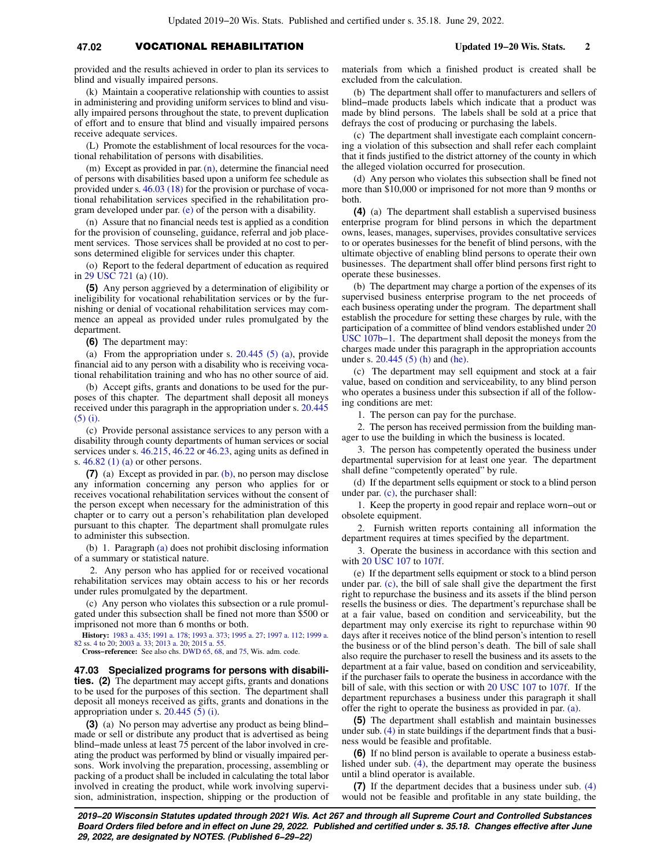## **47.02** VOCATIONAL REHABILITATION **Updated 19−20 Wis. Stats. 2**

provided and the results achieved in order to plan its services to blind and visually impaired persons.

(k) Maintain a cooperative relationship with counties to assist in administering and providing uniform services to blind and visually impaired persons throughout the state, to prevent duplication of effort and to ensure that blind and visually impaired persons receive adequate services.

(L) Promote the establishment of local resources for the vocational rehabilitation of persons with disabilities.

(m) Except as provided in par.  $(n)$ , determine the financial need of persons with disabilities based upon a uniform fee schedule as provided under s. [46.03 \(18\)](https://docs.legis.wisconsin.gov/document/statutes/46.03(18)) for the provision or purchase of vocational rehabilitation services specified in the rehabilitation program developed under par. [\(e\)](https://docs.legis.wisconsin.gov/document/statutes/47.02(3m)(e)) of the person with a disability.

(n) Assure that no financial needs test is applied as a condition for the provision of counseling, guidance, referral and job placement services. Those services shall be provided at no cost to persons determined eligible for services under this chapter.

(o) Report to the federal department of education as required in [29 USC 721](https://docs.legis.wisconsin.gov/document/usc/29%20USC%20721) (a) (10).

**(5)** Any person aggrieved by a determination of eligibility or ineligibility for vocational rehabilitation services or by the furnishing or denial of vocational rehabilitation services may commence an appeal as provided under rules promulgated by the department.

**(6)** The department may:

(a) From the appropriation under s. [20.445 \(5\) \(a\)](https://docs.legis.wisconsin.gov/document/statutes/20.445(5)(a)), provide financial aid to any person with a disability who is receiving vocational rehabilitation training and who has no other source of aid.

(b) Accept gifts, grants and donations to be used for the purposes of this chapter. The department shall deposit all moneys received under this paragraph in the appropriation under s. [20.445](https://docs.legis.wisconsin.gov/document/statutes/20.445(5)(i)) [\(5\) \(i\)](https://docs.legis.wisconsin.gov/document/statutes/20.445(5)(i)).

(c) Provide personal assistance services to any person with a disability through county departments of human services or social services under s. [46.215,](https://docs.legis.wisconsin.gov/document/statutes/46.215) [46.22](https://docs.legis.wisconsin.gov/document/statutes/46.22) or [46.23](https://docs.legis.wisconsin.gov/document/statutes/46.23), aging units as defined in s. [46.82 \(1\) \(a\)](https://docs.legis.wisconsin.gov/document/statutes/46.82(1)(a)) or other persons.

**(7)** (a) Except as provided in par. [\(b\),](https://docs.legis.wisconsin.gov/document/statutes/47.02(7)(b)) no person may disclose any information concerning any person who applies for or receives vocational rehabilitation services without the consent of the person except when necessary for the administration of this chapter or to carry out a person's rehabilitation plan developed pursuant to this chapter. The department shall promulgate rules to administer this subsection.

(b) 1. Paragraph [\(a\)](https://docs.legis.wisconsin.gov/document/statutes/47.02(7)(a)) does not prohibit disclosing information of a summary or statistical nature.

2. Any person who has applied for or received vocational rehabilitation services may obtain access to his or her records under rules promulgated by the department.

(c) Any person who violates this subsection or a rule promulgated under this subsection shall be fined not more than \$500 or imprisoned not more than 6 months or both.

**History:** [1983 a. 435](https://docs.legis.wisconsin.gov/document/acts/1983/435); [1991 a. 178;](https://docs.legis.wisconsin.gov/document/acts/1991/178) [1993 a. 373;](https://docs.legis.wisconsin.gov/document/acts/1993/373) [1995 a. 27](https://docs.legis.wisconsin.gov/document/acts/1995/27); [1997 a. 112](https://docs.legis.wisconsin.gov/document/acts/1997/112); [1999 a.](https://docs.legis.wisconsin.gov/document/acts/1999/82) [82](https://docs.legis.wisconsin.gov/document/acts/1999/82) ss. [4](https://docs.legis.wisconsin.gov/document/acts/1999/82,%20s.%204) to [20;](https://docs.legis.wisconsin.gov/document/acts/1999/82,%20s.%2020) [2003 a. 33](https://docs.legis.wisconsin.gov/document/acts/2003/33); [2013 a. 20](https://docs.legis.wisconsin.gov/document/acts/2013/20); [2015 a. 55](https://docs.legis.wisconsin.gov/document/acts/2015/55).

**Cross−reference:** See also chs. [DWD 65](https://docs.legis.wisconsin.gov/document/administrativecode/ch.%20DWD%2065), [68,](https://docs.legis.wisconsin.gov/document/administrativecode/ch.%20DWD%2068) and [75](https://docs.legis.wisconsin.gov/document/administrativecode/ch.%20DWD%2075), Wis. adm. code.

**47.03 Specialized programs for persons with disabilities. (2)** The department may accept gifts, grants and donations to be used for the purposes of this section. The department shall deposit all moneys received as gifts, grants and donations in the appropriation under s.  $20.445(5)(i)$ .

**(3)** (a) No person may advertise any product as being blind− made or sell or distribute any product that is advertised as being blind−made unless at least 75 percent of the labor involved in creating the product was performed by blind or visually impaired persons. Work involving the preparation, processing, assembling or packing of a product shall be included in calculating the total labor involved in creating the product, while work involving supervision, administration, inspection, shipping or the production of materials from which a finished product is created shall be excluded from the calculation.

(b) The department shall offer to manufacturers and sellers of blind−made products labels which indicate that a product was made by blind persons. The labels shall be sold at a price that defrays the cost of producing or purchasing the labels.

(c) The department shall investigate each complaint concerning a violation of this subsection and shall refer each complaint that it finds justified to the district attorney of the county in which the alleged violation occurred for prosecution.

(d) Any person who violates this subsection shall be fined not more than \$10,000 or imprisoned for not more than 9 months or both.

**(4)** (a) The department shall establish a supervised business enterprise program for blind persons in which the department owns, leases, manages, supervises, provides consultative services to or operates businesses for the benefit of blind persons, with the ultimate objective of enabling blind persons to operate their own businesses. The department shall offer blind persons first right to operate these businesses.

(b) The department may charge a portion of the expenses of its supervised business enterprise program to the net proceeds of each business operating under the program. The department shall establish the procedure for setting these charges by rule, with the participation of a committee of blind vendors established under [20](https://docs.legis.wisconsin.gov/document/usc/20%20USC%20107b-1) [USC 107b−1.](https://docs.legis.wisconsin.gov/document/usc/20%20USC%20107b-1) The department shall deposit the moneys from the charges made under this paragraph in the appropriation accounts under s. [20.445 \(5\) \(h\)](https://docs.legis.wisconsin.gov/document/statutes/20.445(5)(h)) and [\(he\).](https://docs.legis.wisconsin.gov/document/statutes/20.445(5)(he))

(c) The department may sell equipment and stock at a fair value, based on condition and serviceability, to any blind person who operates a business under this subsection if all of the following conditions are met:

1. The person can pay for the purchase.

2. The person has received permission from the building manager to use the building in which the business is located.

3. The person has competently operated the business under departmental supervision for at least one year. The department shall define "competently operated" by rule.

(d) If the department sells equipment or stock to a blind person under par. [\(c\),](https://docs.legis.wisconsin.gov/document/statutes/47.03(4)(c)) the purchaser shall:

1. Keep the property in good repair and replace worn−out or obsolete equipment.

2. Furnish written reports containing all information the department requires at times specified by the department.

3. Operate the business in accordance with this section and with [20 USC 107](https://docs.legis.wisconsin.gov/document/usc/20%20USC%20107) to [107f](https://docs.legis.wisconsin.gov/document/usc/20%20USC%20107f).

(e) If the department sells equipment or stock to a blind person under par. [\(c\)](https://docs.legis.wisconsin.gov/document/statutes/47.03(4)(c)), the bill of sale shall give the department the first right to repurchase the business and its assets if the blind person resells the business or dies. The department's repurchase shall be at a fair value, based on condition and serviceability, but the department may only exercise its right to repurchase within 90 days after it receives notice of the blind person's intention to resell the business or of the blind person's death. The bill of sale shall also require the purchaser to resell the business and its assets to the department at a fair value, based on condition and serviceability, if the purchaser fails to operate the business in accordance with the bill of sale, with this section or with [20 USC 107](https://docs.legis.wisconsin.gov/document/usc/20%20USC%20107) to [107f.](https://docs.legis.wisconsin.gov/document/usc/20%20USC%20107f) If the department repurchases a business under this paragraph it shall offer the right to operate the business as provided in par. [\(a\).](https://docs.legis.wisconsin.gov/document/statutes/47.03(4)(a))

**(5)** The department shall establish and maintain businesses under sub. [\(4\)](https://docs.legis.wisconsin.gov/document/statutes/47.03(4)) in state buildings if the department finds that a business would be feasible and profitable.

**(6)** If no blind person is available to operate a business established under sub.  $(4)$ , the department may operate the business until a blind operator is available.

**(7)** If the department decides that a business under sub. [\(4\)](https://docs.legis.wisconsin.gov/document/statutes/47.03(4)) would not be feasible and profitable in any state building, the

**2019−20 Wisconsin Statutes updated through 2021 Wis. Act 267 and through all Supreme Court and Controlled Substances Board Orders filed before and in effect on June 29, 2022. Published and certified under s. 35.18. Changes effective after June 29, 2022, are designated by NOTES. (Published 6−29−22)**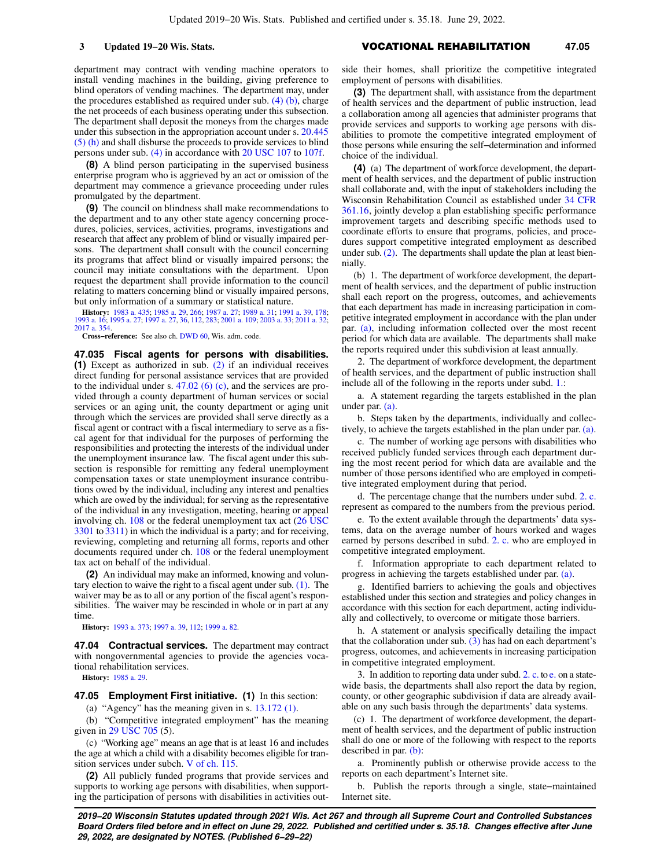### **3 Updated 19−20 Wis. Stats.** VOCATIONAL REHABILITATION **47.05**

department may contract with vending machine operators to install vending machines in the building, giving preference to blind operators of vending machines. The department may, under the procedures established as required under sub. [\(4\) \(b\),](https://docs.legis.wisconsin.gov/document/statutes/47.03(4)(b)) charge the net proceeds of each business operating under this subsection. The department shall deposit the moneys from the charges made under this subsection in the appropriation account under s. [20.445](https://docs.legis.wisconsin.gov/document/statutes/20.445(5)(h)) [\(5\) \(h\)](https://docs.legis.wisconsin.gov/document/statutes/20.445(5)(h)) and shall disburse the proceeds to provide services to blind persons under sub. [\(4\)](https://docs.legis.wisconsin.gov/document/statutes/47.03(4)) in accordance with [20 USC 107](https://docs.legis.wisconsin.gov/document/usc/20%20USC%20107) to [107f](https://docs.legis.wisconsin.gov/document/usc/20%20USC%20107f).

**(8)** A blind person participating in the supervised business enterprise program who is aggrieved by an act or omission of the department may commence a grievance proceeding under rules promulgated by the department.

**(9)** The council on blindness shall make recommendations to the department and to any other state agency concerning procedures, policies, services, activities, programs, investigations and research that affect any problem of blind or visually impaired persons. The department shall consult with the council concerning its programs that affect blind or visually impaired persons; the council may initiate consultations with the department. Upon request the department shall provide information to the council relating to matters concerning blind or visually impaired persons, but only information of a summary or statistical nature.

**History:** [1983 a. 435;](https://docs.legis.wisconsin.gov/document/acts/1983/435) [1985 a. 29,](https://docs.legis.wisconsin.gov/document/acts/1985/29) [266](https://docs.legis.wisconsin.gov/document/acts/1985/266); [1987 a. 27](https://docs.legis.wisconsin.gov/document/acts/1987/27); [1989 a. 31;](https://docs.legis.wisconsin.gov/document/acts/1989/31) [1991 a. 39](https://docs.legis.wisconsin.gov/document/acts/1991/39), [178](https://docs.legis.wisconsin.gov/document/acts/1991/178); [1993 a. 16;](https://docs.legis.wisconsin.gov/document/acts/1993/16) [1995 a. 27;](https://docs.legis.wisconsin.gov/document/acts/1995/27) [1997 a. 27,](https://docs.legis.wisconsin.gov/document/acts/1997/27) [36](https://docs.legis.wisconsin.gov/document/acts/1997/36), [112](https://docs.legis.wisconsin.gov/document/acts/1997/112), [283](https://docs.legis.wisconsin.gov/document/acts/1997/283); [2001 a. 109;](https://docs.legis.wisconsin.gov/document/acts/2001/109) [2003 a. 33](https://docs.legis.wisconsin.gov/document/acts/2003/33); [2011 a. 32](https://docs.legis.wisconsin.gov/document/acts/2011/32); [2017 a. 354.](https://docs.legis.wisconsin.gov/document/acts/2017/354)

**Cross−reference:** See also ch. [DWD 60,](https://docs.legis.wisconsin.gov/document/administrativecode/ch.%20DWD%2060) Wis. adm. code.

**47.035 Fiscal agents for persons with disabilities. (1)** Except as authorized in sub. [\(2\)](https://docs.legis.wisconsin.gov/document/statutes/47.035(2)) if an individual receives direct funding for personal assistance services that are provided to the individual under s.  $47.02$  (6) (c), and the services are provided through a county department of human services or social services or an aging unit, the county department or aging unit through which the services are provided shall serve directly as a fiscal agent or contract with a fiscal intermediary to serve as a fiscal agent for that individual for the purposes of performing the responsibilities and protecting the interests of the individual under the unemployment insurance law. The fiscal agent under this subsection is responsible for remitting any federal unemployment compensation taxes or state unemployment insurance contributions owed by the individual, including any interest and penalties which are owed by the individual; for serving as the representative of the individual in any investigation, meeting, hearing or appeal involving ch. [108](https://docs.legis.wisconsin.gov/document/statutes/ch.%20108) or the federal unemployment tax act [\(26 USC](https://docs.legis.wisconsin.gov/document/usc/26%20USC%203301) [3301](https://docs.legis.wisconsin.gov/document/usc/26%20USC%203301) to [3311\)](https://docs.legis.wisconsin.gov/document/usc/26%20USC%203311) in which the individual is a party; and for receiving, reviewing, completing and returning all forms, reports and other documents required under ch. [108](https://docs.legis.wisconsin.gov/document/statutes/ch.%20108) or the federal unemployment tax act on behalf of the individual.

**(2)** An individual may make an informed, knowing and voluntary election to waive the right to a fiscal agent under sub. [\(1\).](https://docs.legis.wisconsin.gov/document/statutes/47.035(1)) The waiver may be as to all or any portion of the fiscal agent's responsibilities. The waiver may be rescinded in whole or in part at any time.

**History:** [1993 a. 373](https://docs.legis.wisconsin.gov/document/acts/1993/373); [1997 a. 39,](https://docs.legis.wisconsin.gov/document/acts/1997/39) [112](https://docs.legis.wisconsin.gov/document/acts/1997/112); [1999 a. 82](https://docs.legis.wisconsin.gov/document/acts/1999/82).

**47.04 Contractual services.** The department may contract with nongovernmental agencies to provide the agencies vocational rehabilitation services.

**History:** [1985 a. 29.](https://docs.legis.wisconsin.gov/document/acts/1985/29)

**47.05 Employment First initiative. (1)** In this section:

(a) "Agency" has the meaning given in s. [13.172 \(1\)](https://docs.legis.wisconsin.gov/document/statutes/13.172(1)).

(b) "Competitive integrated employment" has the meaning given in [29 USC 705](https://docs.legis.wisconsin.gov/document/usc/29%20USC%20705) (5).

(c) "Working age" means an age that is at least 16 and includes the age at which a child with a disability becomes eligible for transition services under subch. [V of ch. 115](https://docs.legis.wisconsin.gov/document/statutes/subch.%20V%20of%20ch.%20115).

**(2)** All publicly funded programs that provide services and supports to working age persons with disabilities, when supporting the participation of persons with disabilities in activities outside their homes, shall prioritize the competitive integrated employment of persons with disabilities.

**(3)** The department shall, with assistance from the department of health services and the department of public instruction, lead a collaboration among all agencies that administer programs that provide services and supports to working age persons with disabilities to promote the competitive integrated employment of those persons while ensuring the self−determination and informed choice of the individual.

**(4)** (a) The department of workforce development, the department of health services, and the department of public instruction shall collaborate and, with the input of stakeholders including the Wisconsin Rehabilitation Council as established under [34 CFR](https://docs.legis.wisconsin.gov/document/cfr/34%20CFR%20361.16) [361.16,](https://docs.legis.wisconsin.gov/document/cfr/34%20CFR%20361.16) jointly develop a plan establishing specific performance improvement targets and describing specific methods used to coordinate efforts to ensure that programs, policies, and procedures support competitive integrated employment as described under sub. [\(2\).](https://docs.legis.wisconsin.gov/document/statutes/47.05(2)) The departments shall update the plan at least biennially.

(b) 1. The department of workforce development, the department of health services, and the department of public instruction shall each report on the progress, outcomes, and achievements that each department has made in increasing participation in competitive integrated employment in accordance with the plan under par. [\(a\)](https://docs.legis.wisconsin.gov/document/statutes/47.05(4)(a)), including information collected over the most recent period for which data are available. The departments shall make the reports required under this subdivision at least annually.

2. The department of workforce development, the department of health services, and the department of public instruction shall include all of the following in the reports under subd. [1.](https://docs.legis.wisconsin.gov/document/statutes/47.05(4)(b)1.):

a. A statement regarding the targets established in the plan under par. [\(a\).](https://docs.legis.wisconsin.gov/document/statutes/47.05(4)(a))

b. Steps taken by the departments, individually and collectively, to achieve the targets established in the plan under par. [\(a\).](https://docs.legis.wisconsin.gov/document/statutes/47.05(4)(a))

c. The number of working age persons with disabilities who received publicly funded services through each department during the most recent period for which data are available and the number of those persons identified who are employed in competitive integrated employment during that period.

d. The percentage change that the numbers under subd. [2. c.](https://docs.legis.wisconsin.gov/document/statutes/47.05(4)(b)2.c.) represent as compared to the numbers from the previous period.

e. To the extent available through the departments' data systems, data on the average number of hours worked and wages earned by persons described in subd. [2. c.](https://docs.legis.wisconsin.gov/document/statutes/47.05(4)(b)2.c.) who are employed in competitive integrated employment.

f. Information appropriate to each department related to progress in achieving the targets established under par. [\(a\)](https://docs.legis.wisconsin.gov/document/statutes/47.05(4)(a)).

g. Identified barriers to achieving the goals and objectives established under this section and strategies and policy changes in accordance with this section for each department, acting individually and collectively, to overcome or mitigate those barriers.

h. A statement or analysis specifically detailing the impact that the collaboration under sub.  $(3)$  has had on each department's progress, outcomes, and achievements in increasing participation in competitive integrated employment.

3. In addition to reporting data under subd. [2. c.](https://docs.legis.wisconsin.gov/document/statutes/47.05(4)(b)2.c.) to [e.](https://docs.legis.wisconsin.gov/document/statutes/47.05(4)(b)2.e.) on a statewide basis, the departments shall also report the data by region, county, or other geographic subdivision if data are already available on any such basis through the departments' data systems.

(c) 1. The department of workforce development, the department of health services, and the department of public instruction shall do one or more of the following with respect to the reports described in par. [\(b\)](https://docs.legis.wisconsin.gov/document/statutes/47.05(4)(b)):

a. Prominently publish or otherwise provide access to the reports on each department's Internet site.

b. Publish the reports through a single, state−maintained Internet site.

**2019−20 Wisconsin Statutes updated through 2021 Wis. Act 267 and through all Supreme Court and Controlled Substances Board Orders filed before and in effect on June 29, 2022. Published and certified under s. 35.18. Changes effective after June 29, 2022, are designated by NOTES. (Published 6−29−22)**